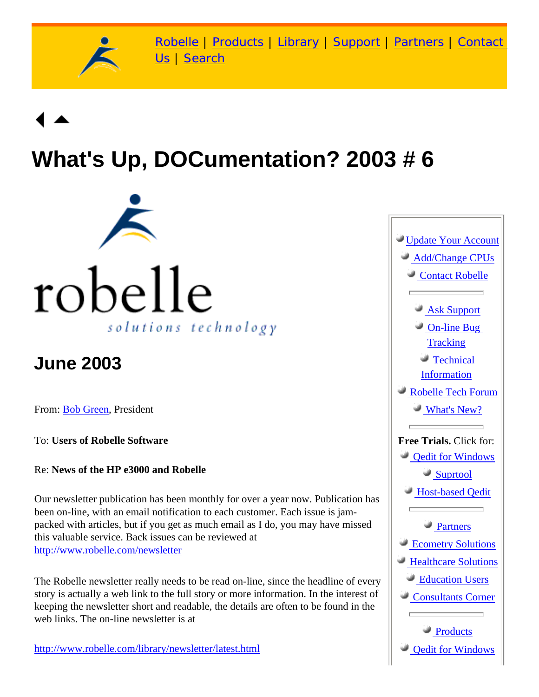

[Robelle](http://www.robelle.com/) | [Products](http://www.robelle.com/products/) | [Library](http://www.robelle.com/library/) | [Support](http://www.robelle.com/support/) | [Partners](http://www.robelle.com/partners/) | [Contact](http://www.robelle.com/contactus.html) [Us](http://www.robelle.com/contactus.html) | [Search](http://www.robelle.com/AT-search.html)

# **What's Up, DOCumentation? 2003 # 6**



## **June 2003**

From: [Bob Green,](http://www.robelle.com/robelle.html#bob) President

To: **Users of Robelle Software**

Re: **News of the HP e3000 and Robelle**

Our newsletter publication has been monthly for over a year now. Publication has been on-line, with an email notification to each customer. Each issue is jampacked with articles, but if you get as much email as I do, you may have missed this valuable service. Back issues can be reviewed at <http://www.robelle.com/newsletter>

The Robelle newsletter really needs to be read on-line, since the headline of every story is actually a web link to the full story or more information. In the interest of keeping the newsletter short and readable, the details are often to be found in the web links. The on-line newsletter is at

[http://www.robelle.com/library/newsletter/latest.html](http://www.robelle.com/newsletter/latest.html)

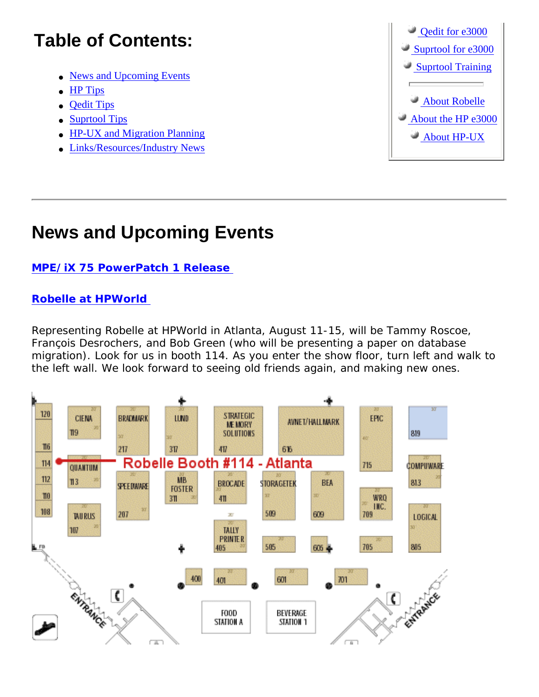### **Table of Contents:**

- [News and Upcoming Events](#page-1-0)
- **HP** Tips
- [Qedit Tips](#page-3-0)
- [Suprtool Tips](#page-3-1)
- [HP-UX and Migration Planning](#page-3-2)
- [Links/Resources/Industry News](#page-4-0)



### <span id="page-1-0"></span>**News and Upcoming Events**

#### **[MPE/iX 75 PowerPatch 1 Release](http://www.3kworld.com/newsroom.asp?sit_PK=&appmode=itemDetail&news_pk=4529)**

#### **[Robelle at HPWorld](http://www.robelle.com/events.html#hpworld2003)**

Representing Robelle at HPWorld in Atlanta, August 11-15, will be Tammy Roscoe, François Desrochers, and Bob Green (who will be presenting a paper on database migration). Look for us in booth 114. As you enter the show floor, turn left and walk to the left wall. We look forward to seeing old friends again, and making new ones.

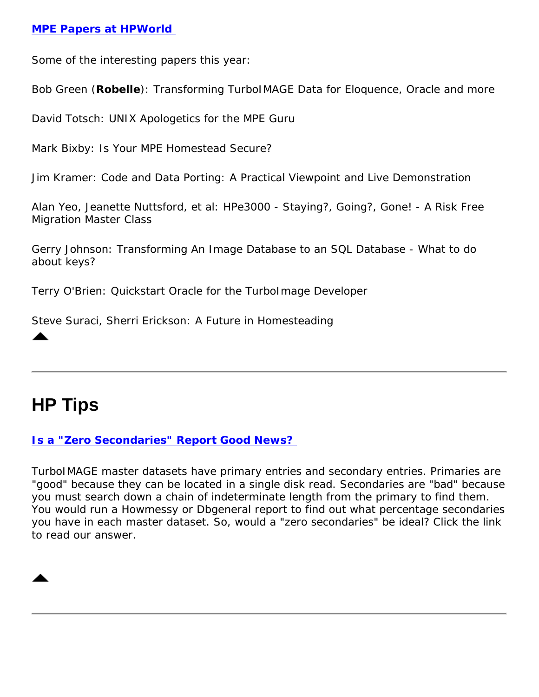#### **[MPE Papers at HPWorld](http://www.hpworld2003.com/scps/guides/track.jsp?TRACK_ID=2410)**

Some of the interesting papers this year:

Bob Green (**Robelle**): *Transforming TurboIMAGE Data for Eloquence, Oracle and more*

David Totsch: *UNIX Apologetics for the MPE Guru*

Mark Bixby: *Is Your MPE Homestead Secure?*

Jim Kramer: *Code and Data Porting: A Practical Viewpoint and Live Demonstration*

Alan Yeo, Jeanette Nuttsford, et al: *HPe3000 - Staying?, Going?, Gone! - A Risk Free Migration Master Class*

Gerry Johnson: *Transforming An Image Database to an SQL Database - What to do about keys?*

Terry O'Brien: *Quickstart Oracle for the TurboImage Developer*

Steve Suraci, Sherri Erickson: *A Future in Homesteading*

### <span id="page-2-0"></span>**HP Tips**

#### **[Is a "Zero Secondaries" Report Good News?](http://www.robelle.com/tips/image.html#zerosecondaries)**

TurboIMAGE master datasets have primary entries and secondary entries. Primaries are "good" because they can be located in a single disk read. Secondaries are "bad" because you must search down a chain of indeterminate length from the primary to find them. You would run a Howmessy or Dbgeneral report to find out what percentage secondaries you have in each master dataset. So, would a "zero secondaries" be ideal? Click the link to read our answer.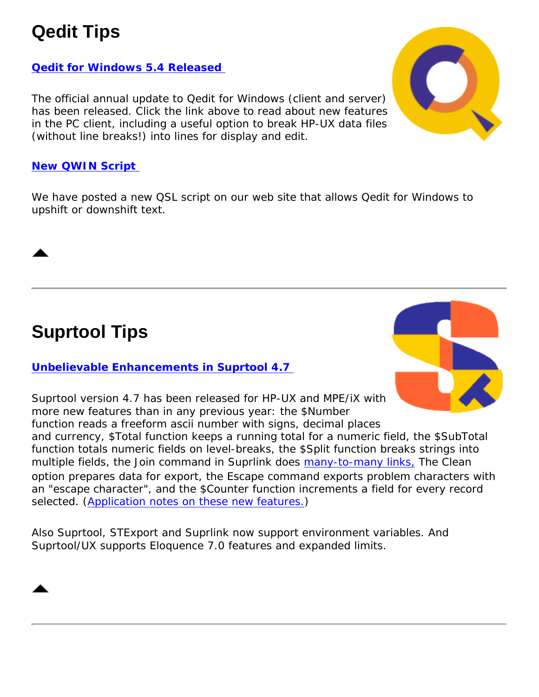### <span id="page-3-0"></span>**Qedit Tips**

#### **[Qedit for Windows 5.4 Released](http://www.robelle.com/products/qwin/5.4/)**

The official annual update to Qedit for Windows (client and server) has been released. Click the link above to read about new features in the PC client, including a useful option to break HP-UX data files (without line breaks!) into lines for display and edit.

#### **[New QWIN Script](http://www.robelle.com/support/qwin/scripts/StringFunctions.qsl)**

We have posted a new QSL script on our web site that allows Qedit for Windows to upshift or downshift text.

### <span id="page-3-1"></span>**Suprtool Tips**

#### **[Unbelievable Enhancements in Suprtool 4.7](http://www.robelle.com/products/suprtool/production.html)**



Suprtool version 4.7 has been released for HP-UX and MPE/iX with more new features than in any previous year: the \$Number function reads a freeform ascii number with signs, decimal places and currency, \$Total function keeps a running total for a numeric field, the \$SubTotal function totals numeric fields on level-breaks, the \$Split function breaks strings into multiple fields, the Join command in Suprlink does [many-to-many links,](http://www.robelle.com/tips/many-to-many-link.html) The Clean option prepares data for export, the Escape command exports problem characters with an "escape character", and the \$Counter function increments a field for every record selected. [\(Application notes on these new features.\)](http://www.robelle.com/tips/suprtool.html)

<span id="page-3-2"></span>Also Suprtool, STExport and Suprlink now support environment variables. And Suprtool/UX supports Eloquence 7.0 features and expanded limits.

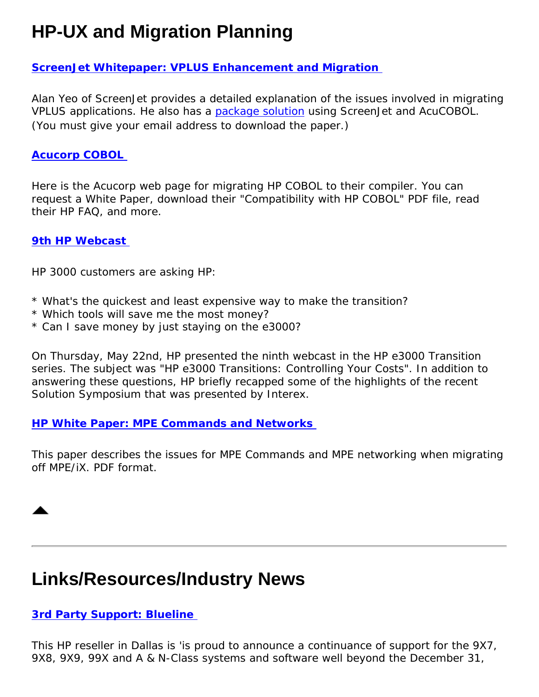### **HP-UX and Migration Planning**

#### **[ScreenJet Whitepaper: VPLUS Enhancement and Migration](http://207.21.244.161/download_mig.asp?SesEnc=&page=downloadlive)**

Alan Yeo of ScreenJet provides a detailed explanation of the issues involved in migrating VPLUS applications. He also has a [package solution](http://www.screenjet.com/) using ScreenJet and AcuCOBOL. (You must give your email address to download the paper.)

#### **[Acucorp COBOL](http://www.acucorp.com/markets/hp/)**

Here is the Acucorp web page for migrating HP COBOL to their compiler. You can request a White Paper, download their "Compatibility with HP COBOL" PDF file, read their HP FAQ, and more.

#### **[9th HP Webcast](http://www.hp.com/go/e3000reg)**

HP 3000 customers are asking HP:

- \* What's the quickest and least expensive way to make the transition?
- \* Which tools will save me the most money?
- \* Can I save money by just staying on the e3000?

On Thursday, May 22nd, HP presented the ninth webcast in the HP e3000 Transition series. The subject was "HP e3000 Transitions: Controlling Your Costs". In addition to answering these questions, HP briefly recapped some of the highlights of the recent Solution Symposium that was presented by Interex.

#### **[HP White Paper: MPE Commands and Networks](http://www.hp.com/products1/mpeixservers/info_library/wp/mpe_com_net.pdf)**

This paper describes the issues for MPE Commands and MPE networking when migrating off MPE/iX. PDF format.

### <span id="page-4-0"></span>**Links/Resources/Industry News**

#### **[3rd Party Support: Blueline](http://www.bluelineservices.com/hp_3000.htm)**

This HP reseller in Dallas is 'is proud to announce a continuance of support for the 9X7, 9X8, 9X9, 99X and A & N-Class systems and software well beyond the December 31,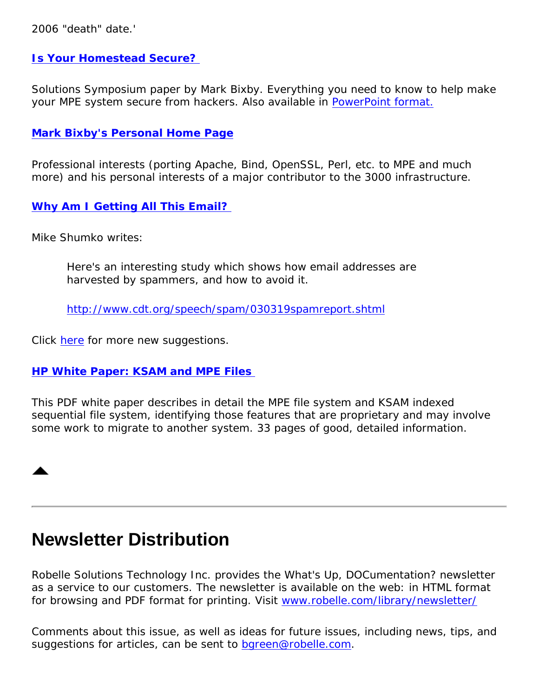2006 "death" date.'

#### **[Is Your Homestead Secure?](http://jazz.external.hp.com/papers/SolSymposium_03/homestead-security-027-rev1.htm)**

Solutions Symposium paper by Mark Bixby. Everything you need to know to help make your MPE system secure from hackers. Also available in [PowerPoint format.](http://jazz.external.hp.com/papers/SolSymposium_03/homestead-security-027-rev1.ppt)

#### **[Mark Bixby's Personal Home Page](http://www.bixby.org/mark/)**

Professional interests (porting Apache, Bind, OpenSSL, Perl, etc. to MPE and much more) and his personal interests of a major contributor to the 3000 infrastructure.

#### **[Why Am I Getting All This Email?](http://www.robelle.com/tips/email-cloak.html)**

Mike Shumko writes:

Here's an interesting study which shows how email addresses are harvested by spammers, and how to avoid it.

<http://www.cdt.org/speech/spam/030319spamreport.shtml>

Click [here](http://www.robelle.com/tips/email-cloak.html) for more new suggestions.

#### **[HP White Paper: KSAM and MPE Files](http://www.hp.com/products1/mpeixservers/info_library/wp/ksam_mpe.pdf)**

This PDF white paper describes in detail the MPE file system and KSAM indexed sequential file system, identifying those features that are proprietary and may involve some work to migrate to another system. 33 pages of good, detailed information.

### **Newsletter Distribution**

Robelle Solutions Technology Inc. provides the *What's Up, DOCumentation?* newsletter as a service to our customers. The newsletter is available on the web: in HTML format for browsing and PDF format for printing. Visit [www.robelle.com/library/newsletter/](http://www.robelle.com/library/newsletter/)

Comments about this issue, as well as ideas for future issues, including news, tips, and suggestions for articles, can be sent to [bgreen@robelle.com.](mailto:bgreen@robelle.com)